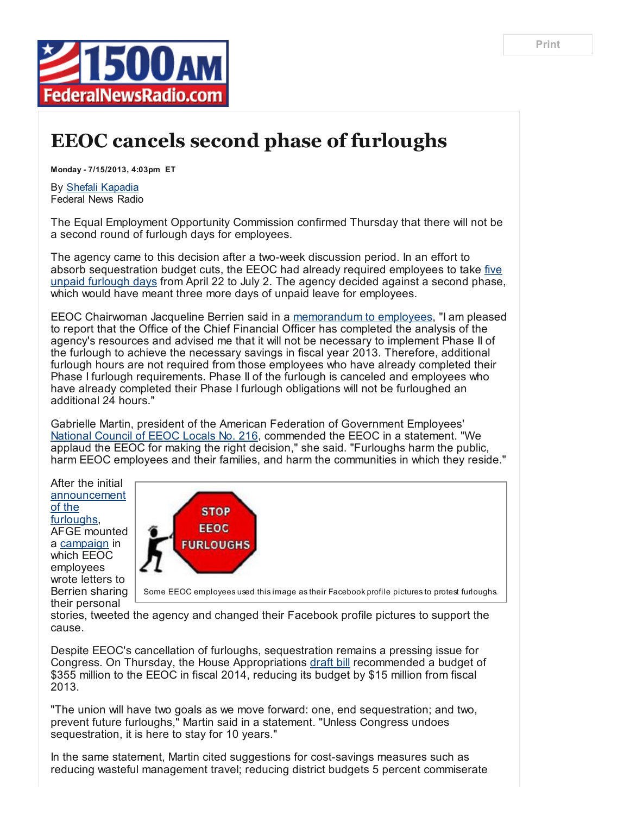

## EEOC cancels second phase of furloughs

Monday - 7/15/2013, 4:03pm ET

By Shefali [Kapadia](mailto:skapadia@federalnewsradio.com?subject=EEOC%20Furloughs) Federal News Radio

The Equal Employment Opportunity Commission confirmed Thursday that there will not be a second round of furlough days for employees.

The agency came to this decision after a two-week discussion period. In an effort to absorb [sequestration](http://www.federalnewsradio.com/534/3380196/Another-furlough-Friday-relief-possible-for-some) budget cuts, the EEOC had already required employees to take five unpaid furlough days from April 22 to July 2. The agency decided against a second phase, which would have meant three more days of unpaid leave for employees.

EEOC Chairwoman Jacqueline Berrien said in a [memorandum](http://www.federalnewsradio.com/pdfs/071113_eeoc_furlough_memo.pdf) to employees, "I am pleased to report that the Office of the Chief Financial Officer has completed the analysis of the agency's resources and advised me that it will not be necessary to implement Phase II of the furlough to achieve the necessary savings in fiscal year 2013. Therefore, additional furlough hours are not required from those employees who have already completed their Phase I furlough requirements. Phase II of the furlough is canceled and employees who have already completed their Phase I furlough obligations will not be furloughed an additional 24 hours."

Gabrielle Martin, president of the American Federation of Government Employees' [National](http://www.council216.org/) Council of EEOC Locals No. 216, commended the EEOC in a statement. "We applaud the EEOC for making the right decision," she said. "Furloughs harm the public, harm EEOC employees and their families, and harm the communities in which they reside."

After the initial [announcement](http://www.federalnewsradio.com/1104/3237795/Sequestration-Tracker-Guide-to-agency-furloughs) of the furloughs, AFGE mounted a [campaign](http://www.afge.org/?PressReleaseID=1511) in which EEOC employees wrote letters to Berrien sharing their personal



Some EEOC employees used this image as their Facebook profile pictures to protest furloughs.

stories, tweeted the agency and changed their Facebook profile pictures to support the cause.

Despite EEOC's cancellation of furloughs, sequestration remains a pressing issue for Congress. On Thursday, the House Appropriations [draft](http://appropriations.house.gov/uploadedfiles/bills-113hr-sc-ap-fy2014-cjs-subcommitteedraft.pdf) bill recommended a budget of \$355 million to the EEOC in fiscal 2014, reducing its budget by \$15 million from fiscal 2013.

"The union will have two goals as we move forward: one, end sequestration; and two, prevent future furloughs," Martin said in a statement. "Unless Congress undoes sequestration, it is here to stay for 10 years."

In the same statement, Martin cited suggestions for cost-savings measures such as reducing wasteful management travel; reducing district budgets 5 percent commiserate